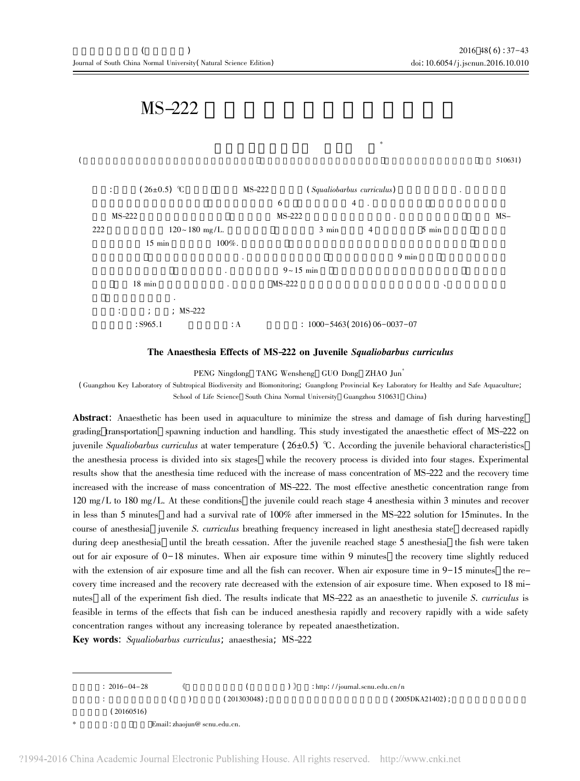## $MS-222$



The Anaesthesia Effects of MS-222 on Juvenile Squaliobarbus curriculus

PENG Ningdong TANG Wensheng GUO Dong ZHAO Jun\*

(Guangzhou Key Laboratory of Subtropical Biodiversity and Biomonitoring; Guangdong Provincial Key Laboratory for Healthy and Safe Aquaculture; School of Life Science South China Normal University Guangzhou 510631 China)

**Abstract:** Anaesthetic has been used in aquaculture to minimize the stress and damage of fish during harvesting grading transportation spawning induction and handling. This study investigated the anaesthetic effect of MS-222 on juvenile Squaliobarbus curriculus at water temperature  $(26\pm0.5)$  °C. According the juvenile behavioral characteristics the anesthesia process is divided into six stages while the recovery process is divided into four stages. Experimental results show that the anesthesia time reduced with the increase of mass concentration of MS-222 and the recovery time increased with the increase of mass concentration of MS-222. The most effective anesthetic concentration range from 120 mg/L to 180 mg/L. At these conditions the juvenile could reach stage 4 anesthesia within 3 minutes and recover in less than 5 minutes and had a survival rate of 100% after immersed in the MS-222 solution for 15 minutes. In the course of anesthesia juvenile S. curriculus breathing frequency increased in light anesthesia state decreased rapidly during deep anesthesia until the breath cessation. After the juvenile reached stage 5 anesthesia the fish were taken out for air exposure of  $0-18$  minutes. When air exposure time within 9 minutes the recovery time slightly reduced with the extension of air exposure time and all the fish can recover. When air exposure time in  $9-15$  minutes the recovery time increased and the recovery rate decreased with the extension of air exposure time. When exposed to 18 minutes all of the experiment fish died. The results indicate that MS-222 as an anaesthetic to juvenile S. curriculus is feasible in terms of the effects that fish can be induced anesthesia rapidly and recovery rapidly with a wide safety concentration ranges without any increasing tolerance by repeated anaesthetization.

Key words: Squaliobarbus curriculus; anaesthesia; MS-222

 $: 2016 - 04 - 28$ : http://journal.scnu.edu.cn/n 《  $\overline{(}$  $)$   $\rangle$  $(201303048)$ ;  $(2005DKA21402)$ ;  $\overline{(\ }$  $\lambda$  $(20160516)$ Email: zhaojun@ scnu.edu.cn.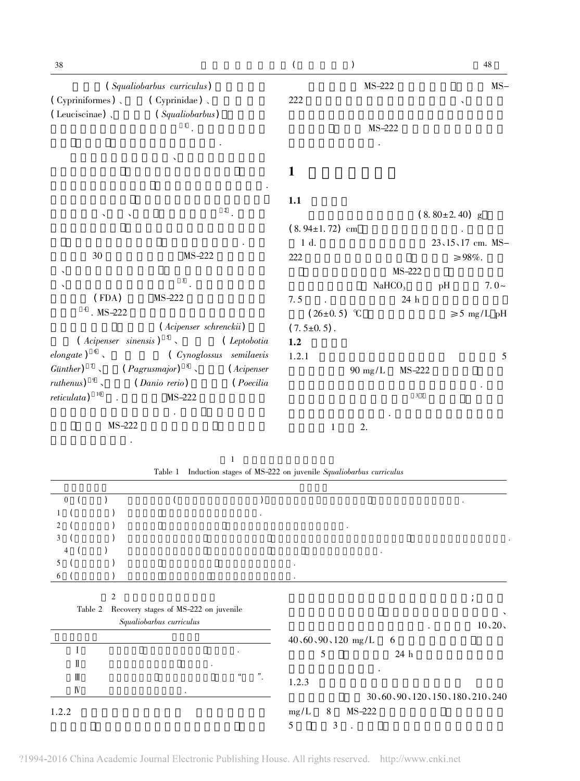| 38                          |                                                       | $\overline{(\ }$     | $\lambda$          |                    |                     | $48\,$           |
|-----------------------------|-------------------------------------------------------|----------------------|--------------------|--------------------|---------------------|------------------|
|                             | (Squaliobarbus curriculus)                            |                      | MS-222             |                    |                     | $MS-$            |
| (Cypriniformes),            | $\left(\right.$ Cyprinidae)                           | 222                  |                    |                    |                     |                  |
| (Leuciscinae),              | (Squaliobarbus)                                       |                      |                    |                    |                     |                  |
|                             |                                                       |                      | MS-222             |                    |                     |                  |
|                             |                                                       |                      |                    |                    |                     |                  |
|                             |                                                       |                      |                    |                    |                     |                  |
|                             |                                                       | 1                    |                    |                    |                     |                  |
|                             |                                                       |                      |                    |                    |                     |                  |
|                             | $\overline{2}$ .                                      | 1.1                  |                    |                    |                     |                  |
|                             |                                                       |                      |                    |                    | $(8.80 \pm 2.40)$ g |                  |
|                             |                                                       | $(8.94 \pm 1.72)$ cm |                    |                    |                     |                  |
| 30                          | MS-222                                                | 1 d.                 |                    |                    | 23、15、17 cm. MS-    |                  |
|                             |                                                       | 222                  |                    | MS-222             | $\geq 98\%$ .       |                  |
|                             | 3                                                     |                      |                    | NaHCO <sub>3</sub> | pH                  | $7.0-$           |
| (FDA)                       | MS-222                                                | 7.5                  |                    | 24 h               |                     |                  |
| $4$ . MS-222                |                                                       |                      | $(26\pm0.5)$ °C    |                    |                     | $\geq 5$ mg/L pH |
|                             | (Acipenser schrenckii)                                | $(7.5 \pm 0.5)$ .    |                    |                    |                     |                  |
|                             | $(Acipenser \ sinensis)$ <sup>5</sup> , $(Leptobotia$ | 1.2                  |                    |                    |                     |                  |
| elongate) $\frac{6}{3}$     | (Cynoglossus semilaevis                               | 1.2.1                |                    |                    |                     | 5                |
| Günther) $\frac{7}{2}$      | $(Pagrusmajor)^{-8}$ , $(Acipenser)$                  |                      | $90 \text{ mg/L}$  | MS-222             |                     |                  |
| ruthenus) $9\sqrt{ }$       | ( <i>Danio rerio</i> )<br><i>(Poecilia</i> )          |                      |                    |                    |                     |                  |
| $reticulata)$ <sup>10</sup> | $MS-222$                                              |                      |                    | 3 7                |                     |                  |
| MS-222                      |                                                       |                      | 2.<br>$\mathbf{1}$ |                    |                     |                  |
|                             |                                                       |                      |                    |                    |                     |                  |
|                             | $\mathbf{1}$                                          |                      |                    |                    |                     |                  |

Table 1 Induction stages of MS-222 on juvenile Squaliobarbus curriculus

| $\overline{0}$                                      | $\bullet$                    |
|-----------------------------------------------------|------------------------------|
|                                                     |                              |
| $\mathfrak{D}$                                      |                              |
| 3                                                   |                              |
|                                                     |                              |
| 5                                                   |                              |
| 6                                                   |                              |
|                                                     |                              |
| $\overline{2}$                                      |                              |
| Table 2<br>Recovery stages of MS-222 on juvenile    | $\lambda$                    |
| Squaliobarbus curriculus                            | 10, 20,                      |
|                                                     | $40,60,90,120$ mg/L<br>6     |
| $\bullet$                                           | 24 h<br>5                    |
| Ш                                                   |                              |
| $\epsilon\epsilon$<br>"<br>$\rm I\hspace{-0.04cm}I$ |                              |
| $\mathbb{N}$                                        | 1.2.3                        |
| $\bullet$                                           | 30,60,90,120,150,180,210,240 |
| 1.2.2                                               | MS-222<br>mg/L<br>8          |
|                                                     | 5<br>3                       |

?1994-2016 China Academic Journal Electronic Publishing House. All rights reserved. http://www.cnki.net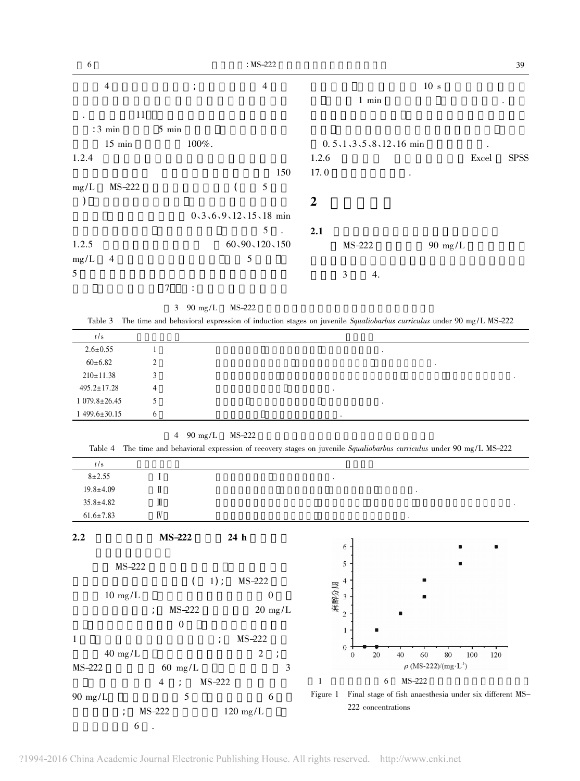| 6              |                                     | $: MS-222$                   |                                                 | 39                                                                                                               |  |  |  |
|----------------|-------------------------------------|------------------------------|-------------------------------------------------|------------------------------------------------------------------------------------------------------------------|--|--|--|
| $\overline{4}$ | $\cdot$                             | $\overline{4}$               | 10 <sub>s</sub>                                 |                                                                                                                  |  |  |  |
|                |                                     |                              | $1$ min                                         |                                                                                                                  |  |  |  |
| 11             |                                     |                              |                                                 |                                                                                                                  |  |  |  |
| $: 3$ min      | $5$ min                             |                              |                                                 |                                                                                                                  |  |  |  |
| $15$ min       | 100%.                               |                              | $0.5$ , $1$ , $3$ , $5$ , $8$ , $12$ , $16$ min |                                                                                                                  |  |  |  |
| 1.2.4          |                                     |                              | 1.2.6                                           | <b>SPSS</b><br>Excel                                                                                             |  |  |  |
|                |                                     | 150                          | 17.0                                            |                                                                                                                  |  |  |  |
| mg/L<br>MS-222 |                                     | 5                            |                                                 |                                                                                                                  |  |  |  |
|                |                                     |                              | $\overline{2}$                                  |                                                                                                                  |  |  |  |
|                |                                     | $0, 3, 6, 9, 12, 15, 18$ min |                                                 |                                                                                                                  |  |  |  |
|                |                                     | 5<br>$\sim$                  | 2.1                                             |                                                                                                                  |  |  |  |
| 1.2.5          |                                     | 60, 90, 120, 150             | MS-222                                          | $90 \text{ mg/L}$                                                                                                |  |  |  |
| mg/L<br>4      |                                     | 5                            |                                                 |                                                                                                                  |  |  |  |
| 5              |                                     |                              | $\mathfrak{Z}$<br>4.                            |                                                                                                                  |  |  |  |
|                | $\overline{7}$                      |                              |                                                 |                                                                                                                  |  |  |  |
|                | $\mathfrak{Z}$<br>$90 \text{ mg/L}$ | MS-222                       |                                                 |                                                                                                                  |  |  |  |
| Table 3        |                                     |                              |                                                 | The time and behavioral expression of induction stages on juvenile Squaliobarbus curriculus under 90 mg/L MS-222 |  |  |  |

| t/s                |        |  |         |           |   |  |
|--------------------|--------|--|---------|-----------|---|--|
| $2.6 \pm 0.55$     |        |  |         | $\bullet$ |   |  |
| $60 \pm 6.82$      | ി<br>∠ |  |         |           | ٠ |  |
| $210 \pm 11.38$    |        |  |         |           |   |  |
| $495.2 \pm 17.28$  | 4      |  | $\cdot$ |           |   |  |
| $1079.8 \pm 26.45$ | ৲      |  |         | $\cdot$   |   |  |
| $1499.6 \pm 30.15$ | h      |  |         |           |   |  |

|  | $90 \text{ mg/L}$ | $MS-222$ |
|--|-------------------|----------|
|--|-------------------|----------|

| $8 + 2.55$<br>$19.8 \pm 4.09$<br>Π<br>$35.8 \pm 4.82$<br>Ⅲ<br>$61.6 \pm 7.83$<br>${\rm I\!V}$<br>MS-222<br>2.2<br>24 h<br>6<br>5<br>$MS-222$<br>$1$ );<br>MS-222<br>4<br>€<br>麻醉分期<br>$\boldsymbol{0}$<br>$10 \text{ mg/L}$<br>3<br>MS-222<br>$20 \text{ mg/L}$<br>$\cdot$<br>$\overline{2}$<br>$\theta$<br>1<br>$\mathbf{1}$<br>MS-222<br>$\bf{0}$<br>$40 \text{ mg/L}$<br>$\overline{2}$<br>40<br>60<br>80<br>100<br>20<br>120<br>$\Omega$<br>$\rho$ (MS-222)/(mg·L <sup>-1</sup> )<br>3<br>MS-222<br>$60 \text{ mg/L}$<br>MS-222<br>6<br>$\mathbf{1}$<br>MS-222<br>4<br>$\cdot$<br>Final stage of fish anaesthesia under six different MS-<br>Figure 1<br>$90 \text{ mg/L}$<br>5<br>6<br>222 concentrations<br>MS-222<br>$120 \text{ mg/L}$<br>$\cdot$ | t/s |  |  |  |  |
|-----------------------------------------------------------------------------------------------------------------------------------------------------------------------------------------------------------------------------------------------------------------------------------------------------------------------------------------------------------------------------------------------------------------------------------------------------------------------------------------------------------------------------------------------------------------------------------------------------------------------------------------------------------------------------------------------------------------------------------------------------------|-----|--|--|--|--|
|                                                                                                                                                                                                                                                                                                                                                                                                                                                                                                                                                                                                                                                                                                                                                           |     |  |  |  |  |
|                                                                                                                                                                                                                                                                                                                                                                                                                                                                                                                                                                                                                                                                                                                                                           |     |  |  |  |  |
|                                                                                                                                                                                                                                                                                                                                                                                                                                                                                                                                                                                                                                                                                                                                                           |     |  |  |  |  |
|                                                                                                                                                                                                                                                                                                                                                                                                                                                                                                                                                                                                                                                                                                                                                           |     |  |  |  |  |
|                                                                                                                                                                                                                                                                                                                                                                                                                                                                                                                                                                                                                                                                                                                                                           |     |  |  |  |  |
|                                                                                                                                                                                                                                                                                                                                                                                                                                                                                                                                                                                                                                                                                                                                                           |     |  |  |  |  |
|                                                                                                                                                                                                                                                                                                                                                                                                                                                                                                                                                                                                                                                                                                                                                           |     |  |  |  |  |
|                                                                                                                                                                                                                                                                                                                                                                                                                                                                                                                                                                                                                                                                                                                                                           |     |  |  |  |  |
|                                                                                                                                                                                                                                                                                                                                                                                                                                                                                                                                                                                                                                                                                                                                                           |     |  |  |  |  |
|                                                                                                                                                                                                                                                                                                                                                                                                                                                                                                                                                                                                                                                                                                                                                           |     |  |  |  |  |
|                                                                                                                                                                                                                                                                                                                                                                                                                                                                                                                                                                                                                                                                                                                                                           |     |  |  |  |  |
|                                                                                                                                                                                                                                                                                                                                                                                                                                                                                                                                                                                                                                                                                                                                                           |     |  |  |  |  |
|                                                                                                                                                                                                                                                                                                                                                                                                                                                                                                                                                                                                                                                                                                                                                           |     |  |  |  |  |
|                                                                                                                                                                                                                                                                                                                                                                                                                                                                                                                                                                                                                                                                                                                                                           |     |  |  |  |  |
|                                                                                                                                                                                                                                                                                                                                                                                                                                                                                                                                                                                                                                                                                                                                                           |     |  |  |  |  |
|                                                                                                                                                                                                                                                                                                                                                                                                                                                                                                                                                                                                                                                                                                                                                           |     |  |  |  |  |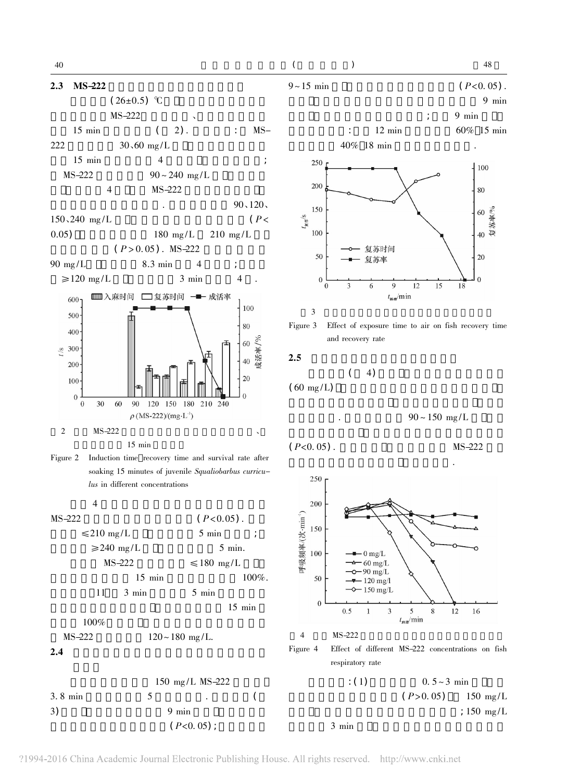



Figure 2 Induction time recovery time and survival rate after soaking 15 minutes of juvenile Squaliobarbus curriculus in different concentrations



# $\mathcal{E}$  $9 \sim 15$  min





 $\theta$ 

 $\theta$ 

 $\overline{\mathbf{3}}$ 

 $\overline{(\ }$ 



9

 $t_{\text{me}}/\text{min}$ 

6

 $4)$ 

$$
2.5
$$
\n
$$
(60 \text{ mg/L})
$$

 $90 \sim 150$  mg/L

15

12

MS-222



 $0.5 - 3$  min  $: (1)$  $(P>0.05)$  $150$  mg/L ; 150  $mg/L$ 

 $3$  min

 $\theta$ 

 $18$ 

 $48\,$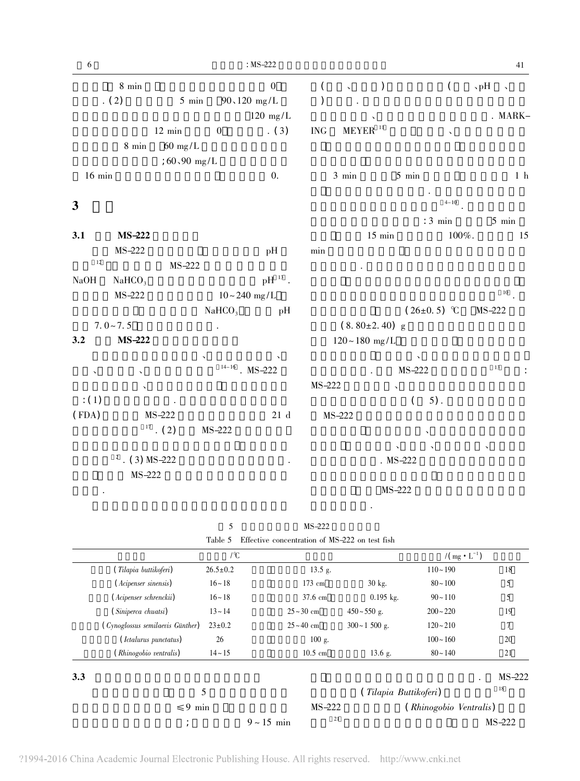| $\sqrt{6}$                |                    |                                  |                    | $: MS-222$              |                      |                 |                       |                    |                | $41\,$               |
|---------------------------|--------------------|----------------------------------|--------------------|-------------------------|----------------------|-----------------|-----------------------|--------------------|----------------|----------------------|
|                           | $8 \text{ min}$    |                                  |                    | $\boldsymbol{0}$        | (                    |                 | $\mathcal{C}$         | $\left($           | $\mathbf{p}$ H | $\ddot{\phantom{1}}$ |
|                           | (2)                | $5 \text{ min}$                  | $90,120$ mg/L      |                         | )                    |                 |                       |                    |                |                      |
|                           |                    |                                  |                    | $120 \text{ mg/L}$      |                      |                 |                       |                    |                | . MARK-              |
|                           |                    | $12 \text{ min}$                 | $\boldsymbol{0}$   | (3)                     | $\operatorname{ING}$ |                 | $MEYER$ <sup>11</sup> | $\checkmark$       |                |                      |
|                           | $8\,\,\rm{min}$    | $60 \text{ mg/L}$                |                    |                         |                      |                 |                       |                    |                |                      |
|                           |                    | ; $60,90$ mg/L                   |                    |                         |                      |                 |                       |                    |                |                      |
| $16$ min                  |                    |                                  |                    | $\overline{0}$ .        |                      | $3 \text{ min}$ |                       | $5$ min            |                | $1\,$ h              |
| 3                         |                    |                                  |                    |                         |                      |                 |                       | $4 - 10$           |                |                      |
|                           |                    |                                  |                    |                         |                      |                 |                       | $: 3 \text{ min}$  |                | $5$ min              |
| 3.1                       | MS-222             |                                  |                    |                         |                      |                 | $15 \ \mathrm{min}$   | $100\%.$           |                | 15                   |
|                           | MS-222             |                                  |                    | pH                      | min                  |                 |                       |                    |                |                      |
| 12                        |                    | MS-222                           |                    |                         |                      |                 |                       |                    |                |                      |
| NaOH                      | NaHCO <sub>3</sub> |                                  |                    | $\mathrm{pH}$ $^{13}$ . |                      |                 |                       |                    |                |                      |
|                           | MS-222             |                                  | $10 - 240$ mg/L    |                         |                      |                 |                       |                    |                | $10\,$               |
|                           |                    |                                  | NaHCO <sub>3</sub> | pH                      |                      |                 |                       | $(26\pm0.5)$ °C    | MS-222         |                      |
|                           | $7.0 - 7.5$        |                                  |                    |                         |                      |                 | $(8.80 \pm 2.40)$ g   |                    |                |                      |
| 3.2                       | MS-222             |                                  |                    |                         |                      |                 | $120 - 180$ mg/L      |                    |                |                      |
|                           |                    |                                  |                    |                         |                      |                 |                       |                    |                |                      |
| $\boldsymbol{\checkmark}$ | $\checkmark$       |                                  | $14 - 16$          | $MS-222$                |                      |                 |                       | MS-222             | 13             |                      |
|                           | $\checkmark$       |                                  |                    |                         | MS-222               |                 | $\checkmark$          |                    |                |                      |
| $\colon$ (1)              |                    |                                  |                    |                         |                      |                 |                       | $5)$ .<br>$\left($ |                |                      |
| (FDA)                     |                    | MS-222                           |                    | $21\,$ d                |                      | MS-222          |                       |                    |                |                      |
|                           |                    | $^{\scriptscriptstyle 17}$ . (2) | MS-222             |                         |                      |                 |                       |                    |                |                      |
|                           |                    |                                  |                    |                         |                      |                 |                       |                    | $\checkmark$   |                      |
|                           | $2$ . (3) MS-222   |                                  |                    |                         |                      |                 | $MS-222$              |                    |                |                      |
|                           | MS-222             |                                  |                    |                         |                      |                 |                       |                    |                |                      |
| $\bullet$                 |                    |                                  |                    |                         |                      |                 | MS-222                |                    |                |                      |

5 MS-222 Table 5  $\;$  Effective concentration of MS–222 on test fish

 $\ddot{\phantom{a}}$ 

|     |                                  | $\int C$       |                 |                         |                    | $/(\text{mg} \cdot \text{L}^{-1})$ |          |
|-----|----------------------------------|----------------|-----------------|-------------------------|--------------------|------------------------------------|----------|
|     | (Tilapia buttikoferi)            | $26.5 \pm 0.2$ |                 | $13.5$ g.               |                    | $110 - 190$                        | 18       |
|     | (Acipenser sinensis)             | $16 - 18$      |                 | $173 \text{ cm}$        | $30 \text{ kg}$ .  | $80 - 100$                         | 5        |
|     | (Acipenser schrenckii)           | $16 - 18$      |                 | $37.6 \text{ cm}$       | $0.195$ kg.        | $90 - 110$                         | 5        |
|     | (Siniperca chuatsi)              | $13 - 14$      |                 | $25 \sim 30 \text{ cm}$ | $450 \sim 550$ g.  | $200 - 220$                        | 19       |
|     | (Cynoglossus semilaevis Günther) | $23 \pm 0.2$   |                 | $25 - 40$ cm            | $300 \sim 1500$ g. | $120 - 210$                        | 7        |
|     | (Ictalurus punctatus)            | 26             |                 | $100$ g.                |                    | $100 - 160$                        | 20       |
|     | (Rhinogobio ventralis)           | $14 - 15$      |                 | $10.5 \text{ cm}$       | 13.6 g.            | $80 - 140$                         | 21       |
| 3.3 |                                  |                |                 |                         |                    |                                    | $MS-222$ |
|     |                                  | 5              |                 |                         |                    | (Tilapia Buttikoferi)              | 18       |
|     | $\leq 9$ min                     |                |                 | $MS-222$                |                    | (Rhinogobio Ventralis)             |          |
|     | ٠                                |                | $9 \sim 15$ min | 21                      |                    |                                    | $MS-222$ |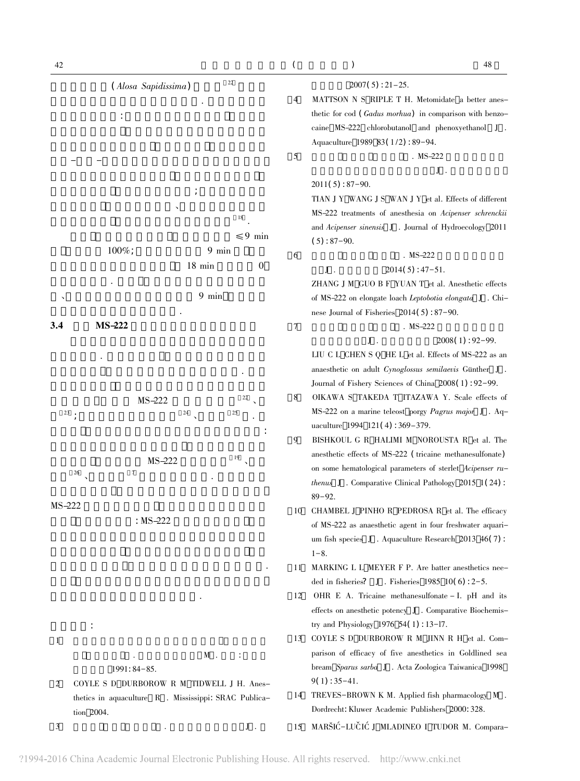

thetic for cod (Gadus morhua) in comparison with benzocaine MS-222 chlorobutanol and phenoxyethanol J. Aquaculture 1989 83(1/2): 89-94.  $MS-222$  ${\bf J}$  .

 $\overline{(\ }$ 

 $\lambda$ 

 $2007(5): 21-25.$ 

TIAN J Y WANG J S WAN J Y et al. Effects of different MS-222 treatments of anesthesia on Acipenser schrenckii and Acipenser sinensis J . Journal of Hydroecology 2011  $(5): 87 - 90.$ 

### $MS-222$

 $2014(5): 47-51.$ 

ZHANG J M GUO B F YUAN T et al. Anesthetic effects of MS-222 on elongate loach Leptobotia elongata J. Chinese Journal of Fisheries  $2014(5)$ : 87-90.

#### $MS-222$

 ${\bf J}$  .  $2008(1): 92 - 99.$ LIU C L CHEN S Q HE L et al. Effects of MS-222 as an anaesthetic on adult Cynoglossus semilaevis Günther J. Journal of Fishery Sciences of China 2008(1): 92-99.

- OIKAWA S TAKEDA T ITAZAWA Y. Scale effects of MS-222 on a marine teleost porgy Pagrus major J. Aquaculture 1994 121(4): 369-379.
- BISHKOUL G R HALIMI M NOROUSTA R et al. The anesthetic effects of MS-222 (tricaine methanesulfonate) on some hematological parameters of sterlet Acipenser ru*thenus*  $J$ . Comparative Clinical Pathology 2015 1(24):
- 10 CHAMBEL J PINHO R PEDROSA R et al. The efficacy of MS-222 as anaesthetic agent in four freshwater aquarium fish species J. Aquaculture Research 2013  $46(7)$ :
- 11 MARKING L L MEYER F P. Are batter anesthetics needed in fisheries? J. Fisheries  $1985$   $10(6)$ : 2-5.
- OHR E A. Tricaine methanesulfonate I. pH and its effects on anesthetic potency J . Comparative Biochemistry and Physiology 1976 54(1): 13-17.
- 13 COYLE S D DURBOROW R M JINN R H et al. Comparison of efficacy of five anesthetics in Goldlined sea bream Sparus sarba J . Acta Zoologica Taiwanica 1998  $9(1): 35 - 41.$
- 14 TREVES-BROWN K M. Applied fish pharmacology M . Dordrecht: Kluwer Academic Publishers 2000: 328.

15 MARŠIĆ-LUČIĆ J MLADINEO I TUDOR M. Compara-

48